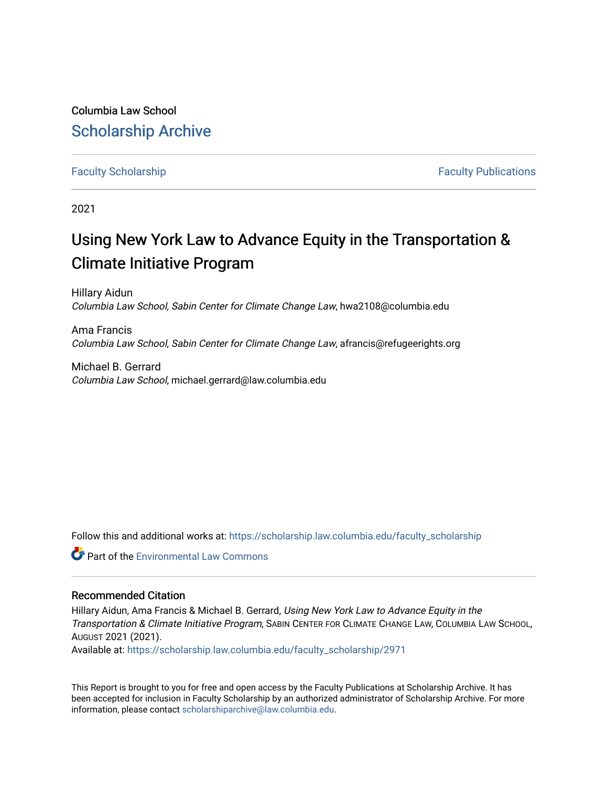Columbia Law School [Scholarship Archive](https://scholarship.law.columbia.edu/) 

#### [Faculty Scholarship](https://scholarship.law.columbia.edu/faculty_scholarship) **Faculty Scholarship Faculty Publications**

2021

# Using New York Law to Advance Equity in the Transportation & Climate Initiative Program

Hillary Aidun Columbia Law School, Sabin Center for Climate Change Law, hwa2108@columbia.edu

Ama Francis Columbia Law School, Sabin Center for Climate Change Law, afrancis@refugeerights.org

Michael B. Gerrard Columbia Law School, michael.gerrard@law.columbia.edu

Follow this and additional works at: [https://scholarship.law.columbia.edu/faculty\\_scholarship](https://scholarship.law.columbia.edu/faculty_scholarship?utm_source=scholarship.law.columbia.edu%2Ffaculty_scholarship%2F2971&utm_medium=PDF&utm_campaign=PDFCoverPages)

**Part of the [Environmental Law Commons](http://network.bepress.com/hgg/discipline/599?utm_source=scholarship.law.columbia.edu%2Ffaculty_scholarship%2F2971&utm_medium=PDF&utm_campaign=PDFCoverPages)** 

#### Recommended Citation

Hillary Aidun, Ama Francis & Michael B. Gerrard, Using New York Law to Advance Equity in the Transportation & Climate Initiative Program, SABIN CENTER FOR CLIMATE CHANGE LAW, COLUMBIA LAW SCHOOL, AUGUST 2021 (2021).

Available at: [https://scholarship.law.columbia.edu/faculty\\_scholarship/2971](https://scholarship.law.columbia.edu/faculty_scholarship/2971?utm_source=scholarship.law.columbia.edu%2Ffaculty_scholarship%2F2971&utm_medium=PDF&utm_campaign=PDFCoverPages)

This Report is brought to you for free and open access by the Faculty Publications at Scholarship Archive. It has been accepted for inclusion in Faculty Scholarship by an authorized administrator of Scholarship Archive. For more information, please contact [scholarshiparchive@law.columbia.edu.](mailto:scholarshiparchive@law.columbia.edu)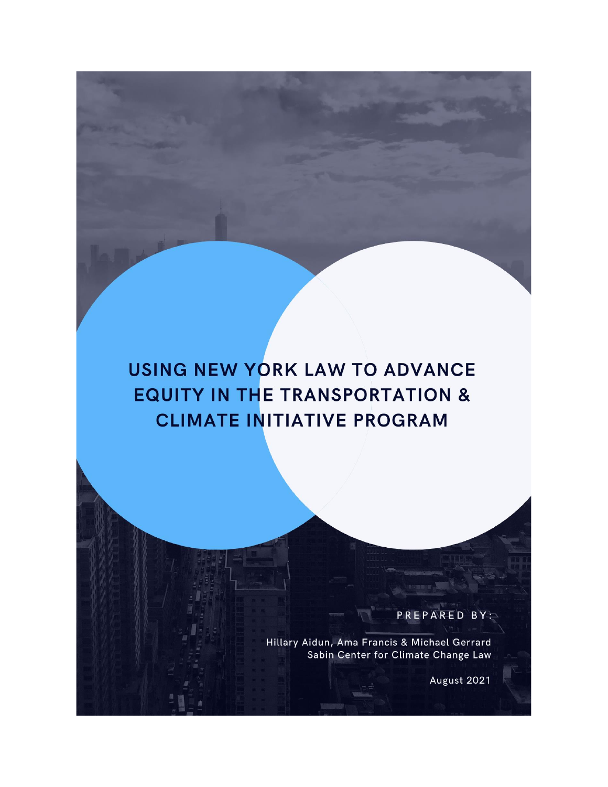# USING NEW YORK LAW TO ADVANCE **EQUITY IN THE TRANSPORTATION & CLIMATE INITIATIVE PROGRAM**

PREPARED BY:

Hillary Aidun, Ama Francis & Michael Gerrard<br>Sabin Center for Climate Change Law

August 2021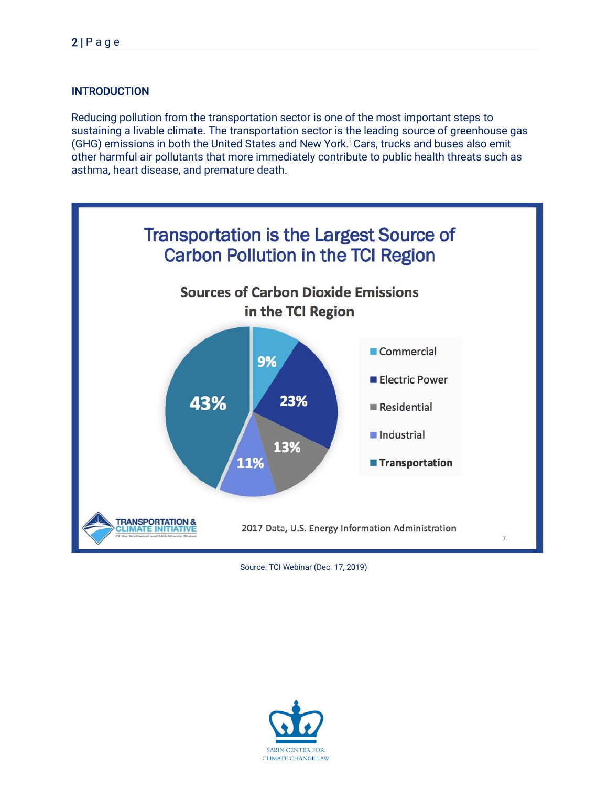## INTRODUCTION

Reducing pollution from the transportation sector is one of the most important steps to sustaining a livable climate. The transportation sector is the leading source of greenhouse gas (GHG) emissions in both the United States and New York. <sup>i</sup> Cars, trucks and buses also emit other harmful air pollutants that more immediately contribute to public health threats such as asthma, heart disease, and premature death.



Source: TCI Webinar (Dec. 17, 2019)

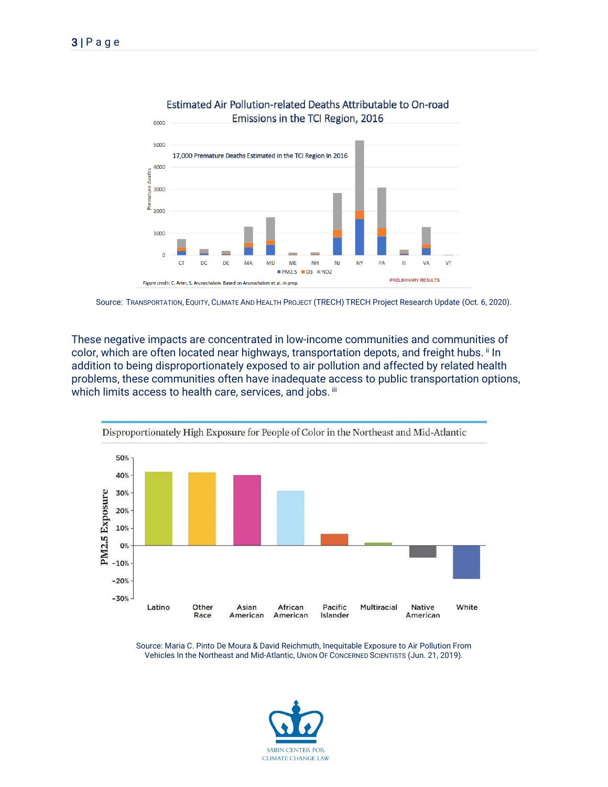

#### Estimated Air Pollution-related Deaths Attributable to On-road Emissions in the TCI Region, 2016



These negative impacts are concentrated in low-income communities and communities of color, which are often located near highways, transportation depots, and freight hubs. ii In addition to being disproportionately exposed to air pollution and affected by related health problems, these communities often have inadequate access to public transportation options, which limits access to health care, services, and jobs. iii



Source: Maria C. Pinto De Moura & David Reichmuth, Inequitable Exposure to Air Pollution From Vehicles In the Northeast and Mid-Atlantic, UNION OF CONCERNED SCIENTISTS (Jun. 21, 2019).

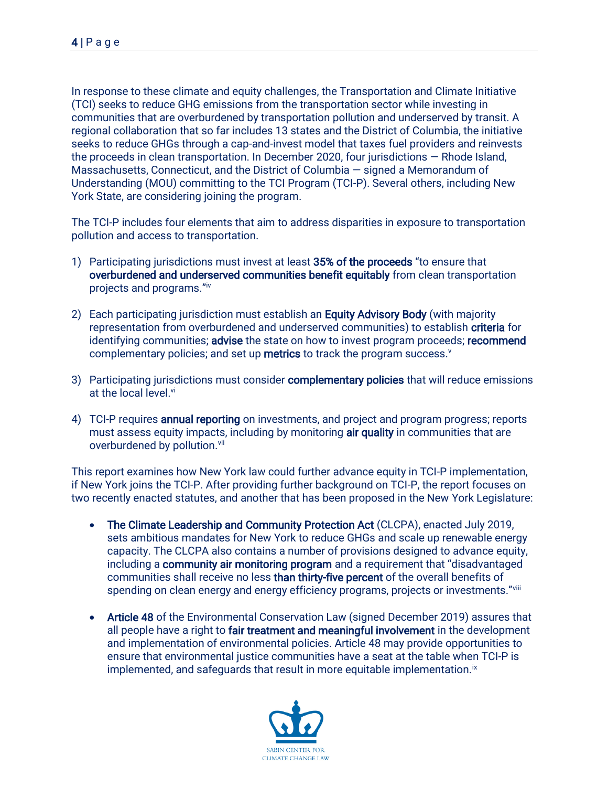In response to these climate and equity challenges, the Transportation and Climate Initiative (TCI) seeks to reduce GHG emissions from the transportation sector while investing in communities that are overburdened by transportation pollution and underserved by transit. A regional collaboration that so far includes 13 states and the District of Columbia, the initiative seeks to reduce GHGs through a cap-and-invest model that taxes fuel providers and reinvests the proceeds in clean transportation. In December 2020, four jurisdictions — Rhode Island, Massachusetts, Connecticut, and the District of Columbia — signed a Memorandum of Understanding (MOU) committing to the TCI Program (TCI-P). Several others, including New York State, are considering joining the program.

The TCI-P includes four elements that aim to address disparities in exposure to transportation pollution and access to transportation.

- 1) Participating jurisdictions must invest at least 35% of the proceeds "to ensure that overburdened and underserved communities benefit equitably from clean transportation projects and programs."iv
- 2) Each participating jurisdiction must establish an Equity Advisory Body (with majority representation from overburdened and underserved communities) to establish criteria for identifying communities; advise the state on how to invest program proceeds; recommend complementary policies; and set up metrics to track the program success.<sup>v</sup>
- 3) Participating jurisdictions must consider **complementary policies** that will reduce emissions at the local level.<sup>vi</sup>
- 4) TCI-P requires **annual reporting** on investments, and project and program progress; reports must assess equity impacts, including by monitoring air quality in communities that are overburdened by pollution.<sup>vii</sup>

This report examines how New York law could further advance equity in TCI-P implementation, if New York joins the TCI-P. After providing further background on TCI-P, the report focuses on two recently enacted statutes, and another that has been proposed in the New York Legislature:

- The Climate Leadership and Community Protection Act (CLCPA), enacted July 2019, sets ambitious mandates for New York to reduce GHGs and scale up renewable energy capacity. The CLCPA also contains a number of provisions designed to advance equity, including a community air monitoring program and a requirement that "disadvantaged communities shall receive no less than thirty-five percent of the overall benefits of spending on clean energy and energy efficiency programs, projects or investments."viii
- Article 48 of the Environmental Conservation Law (signed December 2019) assures that all people have a right to fair treatment and meaningful involvement in the development and implementation of environmental policies. Article 48 may provide opportunities to ensure that environmental justice communities have a seat at the table when TCI-P is implemented, and safeguards that result in more equitable implementation.<sup>ix</sup>

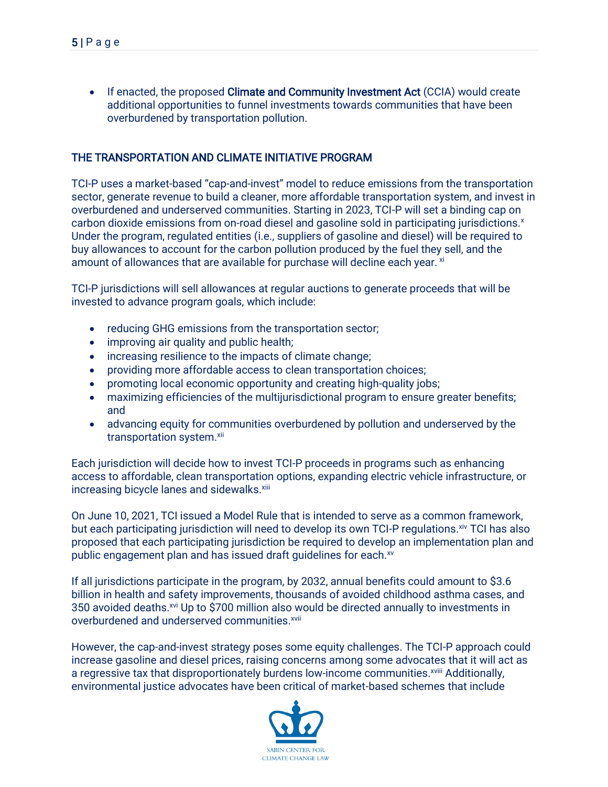• If enacted, the proposed Climate and Community Investment Act (CCIA) would create additional opportunities to funnel investments towards communities that have been overburdened by transportation pollution.

#### THE TRANSPORTATION AND CLIMATE INITIATIVE PROGRAM

TCI-P uses a market-based "cap-and-invest" model to reduce emissions from the transportation sector, generate revenue to build a cleaner, more affordable transportation system, and invest in overburdened and underserved communities. Starting in 2023, TCI-P will set a binding cap on carbon dioxide emissions from on-road diesel and gasoline sold in participating jurisdictions.<sup>x</sup> Under the program, regulated entities (i.e., suppliers of gasoline and diesel) will be required to buy allowances to account for the carbon pollution produced by the fuel they sell, and the amount of allowances that are available for purchase will decline each year. xi

TCI-P jurisdictions will sell allowances at regular auctions to generate proceeds that will be invested to advance program goals, which include:

- reducing GHG emissions from the transportation sector;
- improving air quality and public health;
- increasing resilience to the impacts of climate change;
- providing more affordable access to clean transportation choices;
- promoting local economic opportunity and creating high-quality jobs;
- maximizing efficiencies of the multijurisdictional program to ensure greater benefits; and
- advancing equity for communities overburdened by pollution and underserved by the transportation system.<sup>xii</sup>

Each jurisdiction will decide how to invest TCI-P proceeds in programs such as enhancing access to affordable, clean transportation options, expanding electric vehicle infrastructure, or increasing bicycle lanes and sidewalks.<sup>xiii</sup>

On June 10, 2021, TCI issued a Model Rule that is intended to serve as a common framework, but each participating jurisdiction will need to develop its own TCI-P regulations. Xiv TCI has also proposed that each participating jurisdiction be required to develop an implementation plan and public engagement plan and has issued draft guidelines for each.xv

If all jurisdictions participate in the program, by 2032, annual benefits could amount to \$3.6 billion in health and safety improvements, thousands of avoided childhood asthma cases, and 350 avoided deaths.<sup>xvi</sup> Up to \$700 million also would be directed annually to investments in overburdened and underserved communities.<sup>xvii</sup>

However, the cap-and-invest strategy poses some equity challenges. The TCI-P approach could increase gasoline and diesel prices, raising concerns among some advocates that it will act as a regressive tax that disproportionately burdens low-income communities.<sup>xviii</sup> Additionally, environmental justice advocates have been critical of market-based schemes that include

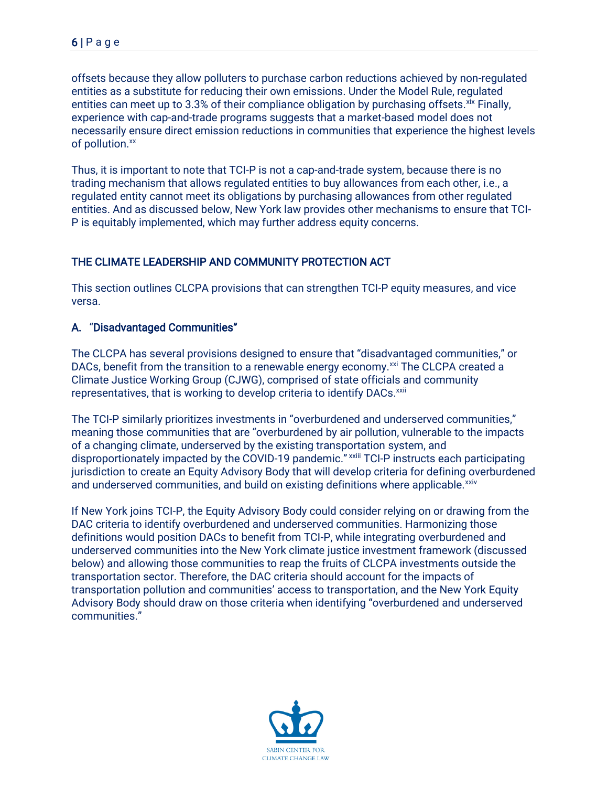offsets because they allow polluters to purchase carbon reductions achieved by non-regulated entities as a substitute for reducing their own emissions. Under the Model Rule, regulated entities can meet up to 3.3% of their compliance obligation by purchasing offsets. Xix Finally, experience with cap-and-trade programs suggests that a market-based model does not necessarily ensure direct emission reductions in communities that experience the highest levels of pollution.<sup>xx</sup>

Thus, it is important to note that TCI-P is not a cap-and-trade system, because there is no trading mechanism that allows regulated entities to buy allowances from each other, i.e., a regulated entity cannot meet its obligations by purchasing allowances from other regulated entities. And as discussed below, New York law provides other mechanisms to ensure that TCI-P is equitably implemented, which may further address equity concerns.

#### THE CLIMATE LEADERSHIP AND COMMUNITY PROTECTION ACT

This section outlines CLCPA provisions that can strengthen TCI-P equity measures, and vice versa.

#### A. "Disadvantaged Communities"

The CLCPA has several provisions designed to ensure that "disadvantaged communities," or DACs, benefit from the transition to a renewable energy economy.<sup>xxi</sup> The CLCPA created a Climate Justice Working Group (CJWG), comprised of state officials and community representatives, that is working to develop criteria to identify DACs.<sup>xxii</sup>

The TCI-P similarly prioritizes investments in "overburdened and underserved communities," meaning those communities that are "overburdened by air pollution, vulnerable to the impacts of a changing climate, underserved by the existing transportation system, and disproportionately impacted by the COVID-19 pandemic." xxiii TCI-P instructs each participating jurisdiction to create an Equity Advisory Body that will develop criteria for defining overburdened and underserved communities, and build on existing definitions where applicable.<sup>xxiv</sup>

If New York joins TCI-P, the Equity Advisory Body could consider relying on or drawing from the DAC criteria to identify overburdened and underserved communities. Harmonizing those definitions would position DACs to benefit from TCI-P, while integrating overburdened and underserved communities into the New York climate justice investment framework (discussed below) and allowing those communities to reap the fruits of CLCPA investments outside the transportation sector. Therefore, the DAC criteria should account for the impacts of transportation pollution and communities' access to transportation, and the New York Equity Advisory Body should draw on those criteria when identifying "overburdened and underserved communities."

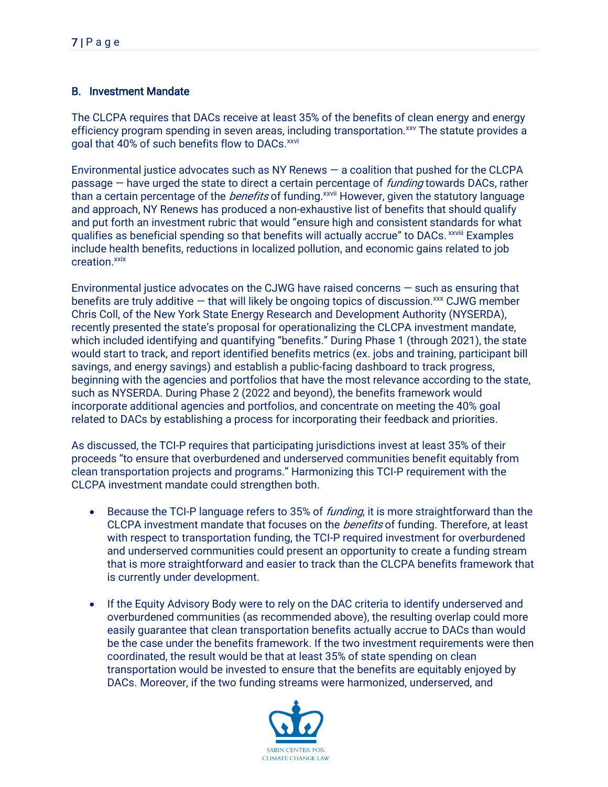## B. Investment Mandate

The CLCPA requires that DACs receive at least 35% of the benefits of clean energy and energy efficiency program spending in seven areas, including transportation.<sup>xxv</sup> The statute provides a goal that 40% of such benefits flow to DACs.<sup>xxvi</sup>

Environmental justice advocates such as NY Renews — a coalition that pushed for the CLCPA passage – have urged the state to direct a certain percentage of *funding* towards DACs, rather than a certain percentage of the *benefits* of funding.<sup>xxvii</sup> However, given the statutory language and approach, NY Renews has produced a non-exhaustive list of benefits that should qualify and put forth an investment rubric that would "ensure high and consistent standards for what qualifies as beneficial spending so that benefits will actually accrue" to DACs. *xxviii* Examples include health benefits, reductions in localized pollution, and economic gains related to job creation. xxix

Environmental justice advocates on the CJWG have raised concerns — such as ensuring that benefits are truly additive  $-$  that will likely be ongoing topics of discussion. $\frac{xx}{x}$  CJWG member Chris Coll, of the New York State Energy Research and Development Authority (NYSERDA), recently presented the state's proposal for operationalizing the CLCPA investment mandate, which included identifying and quantifying "benefits." During Phase 1 (through 2021), the state would start to track, and report identified benefits metrics (ex. jobs and training, participant bill savings, and energy savings) and establish a public-facing dashboard to track progress, beginning with the agencies and portfolios that have the most relevance according to the state, such as NYSERDA. During Phase 2 (2022 and beyond), the benefits framework would incorporate additional agencies and portfolios, and concentrate on meeting the 40% goal related to DACs by establishing a process for incorporating their feedback and priorities.

As discussed, the TCI-P requires that participating jurisdictions invest at least 35% of their proceeds "to ensure that overburdened and underserved communities benefit equitably from clean transportation projects and programs." Harmonizing this TCI-P requirement with the CLCPA investment mandate could strengthen both.

- Because the TCI-P language refers to 35% of *funding*, it is more straightforward than the CLCPA investment mandate that focuses on the *benefits* of funding. Therefore, at least with respect to transportation funding, the TCI-P required investment for overburdened and underserved communities could present an opportunity to create a funding stream that is more straightforward and easier to track than the CLCPA benefits framework that is currently under development.
- If the Equity Advisory Body were to rely on the DAC criteria to identify underserved and overburdened communities (as recommended above), the resulting overlap could more easily guarantee that clean transportation benefits actually accrue to DACs than would be the case under the benefits framework. If the two investment requirements were then coordinated, the result would be that at least 35% of state spending on clean transportation would be invested to ensure that the benefits are equitably enjoyed by DACs. Moreover, if the two funding streams were harmonized, underserved, and

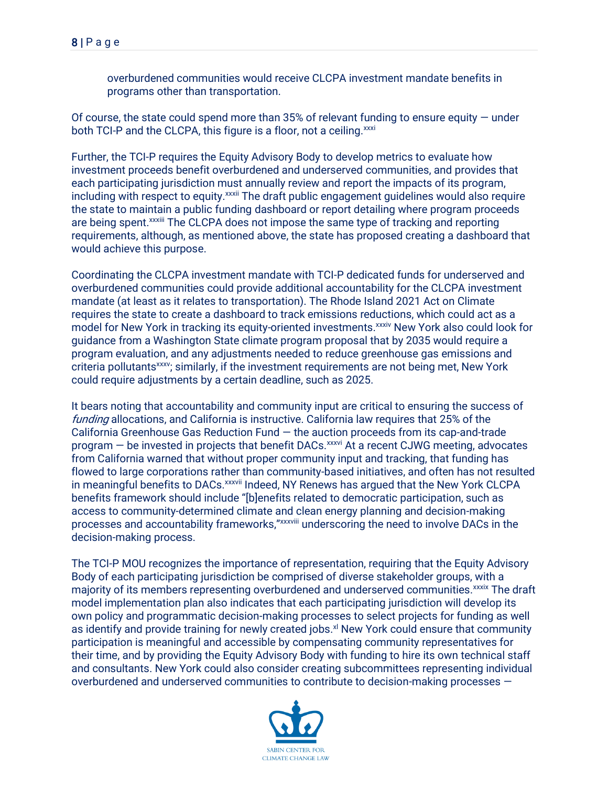overburdened communities would receive CLCPA investment mandate benefits in programs other than transportation.

Of course, the state could spend more than  $35%$  of relevant funding to ensure equity  $-$  under both TCI-P and the CLCPA, this figure is a floor, not a ceiling. xxxi

Further, the TCI-P requires the Equity Advisory Body to develop metrics to evaluate how investment proceeds benefit overburdened and underserved communities, and provides that each participating jurisdiction must annually review and report the impacts of its program, including with respect to equity.<sup>xxxii</sup> The draft public engagement guidelines would also require the state to maintain a public funding dashboard or report detailing where program proceeds are being spent.<sup>xxxiii</sup> The CLCPA does not impose the same type of tracking and reporting requirements, although, as mentioned above, the state has proposed creating a dashboard that would achieve this purpose.

Coordinating the CLCPA investment mandate with TCI-P dedicated funds for underserved and overburdened communities could provide additional accountability for the CLCPA investment mandate (at least as it relates to transportation). The Rhode Island 2021 Act on Climate requires the state to create a dashboard to track emissions reductions, which could act as a model for New York in tracking its equity-oriented investments.<sup>xxxiv</sup> New York also could look for guidance from a Washington State climate program proposal that by 2035 would require a program evaluation, and any adjustments needed to reduce greenhouse gas emissions and criteria pollutants<sup>xxxv</sup>; similarly, if the investment requirements are not being met, New York could require adjustments by a certain deadline, such as 2025.

It bears noting that accountability and community input are critical to ensuring the success of funding allocations, and California is instructive. California law requires that 25% of the California Greenhouse Gas Reduction Fund — the auction proceeds from its cap-and-trade  $program - be invested in projects that benefit DACS<sub>x</sub><sub>xxxvi</sub> At a recent CJWG meeting, advances$ from California warned that without proper community input and tracking, that funding has flowed to large corporations rather than community-based initiatives, and often has not resulted in meaningful benefits to DACs.<sup>xxxvii</sup> Indeed, NY Renews has argued that the New York CLCPA benefits framework should include "[b]enefits related to democratic participation, such as access to community-determined climate and clean energy planning and decision-making processes and accountability frameworks,"xxxviii underscoring the need to involve DACs in the decision-making process.

The TCI-P MOU recognizes the importance of representation, requiring that the Equity Advisory Body of each participating jurisdiction be comprised of diverse stakeholder groups, with a majority of its members representing overburdened and underserved communities.<sup>xxxix</sup> The draft model implementation plan also indicates that each participating jurisdiction will develop its own policy and programmatic decision-making processes to select projects for funding as well as identify and provide training for newly created jobs.<sup>xl</sup> New York could ensure that community participation is meaningful and accessible by compensating community representatives for their time, and by providing the Equity Advisory Body with funding to hire its own technical staff and consultants. New York could also consider creating subcommittees representing individual overburdened and underserved communities to contribute to decision-making processes —

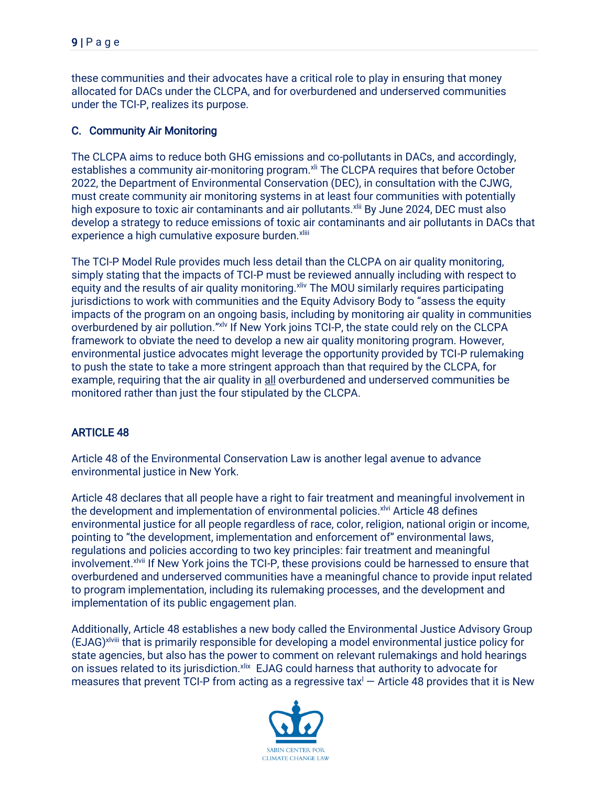these communities and their advocates have a critical role to play in ensuring that money allocated for DACs under the CLCPA, and for overburdened and underserved communities under the TCI-P, realizes its purpose.

# C. Community Air Monitoring

The CLCPA aims to reduce both GHG emissions and co-pollutants in DACs, and accordingly, establishes a community air-monitoring program.<sup>xli</sup> The CLCPA requires that before October 2022, the Department of Environmental Conservation (DEC), in consultation with the CJWG, must create community air monitoring systems in at least four communities with potentially high exposure to toxic air contaminants and air pollutants.<sup>xlii</sup> By June 2024, DEC must also develop a strategy to reduce emissions of toxic air contaminants and air pollutants in DACs that experience a high cumulative exposure burden.<sup>xliii</sup>

The TCI-P Model Rule provides much less detail than the CLCPA on air quality monitoring, simply stating that the impacts of TCI-P must be reviewed annually including with respect to equity and the results of air quality monitoring. XIIV The MOU similarly requires participating jurisdictions to work with communities and the Equity Advisory Body to "assess the equity impacts of the program on an ongoing basis, including by monitoring air quality in communities overburdened by air pollution."xlv If New York joins TCI-P, the state could rely on the CLCPA framework to obviate the need to develop a new air quality monitoring program. However, environmental justice advocates might leverage the opportunity provided by TCI-P rulemaking to push the state to take a more stringent approach than that required by the CLCPA, for example, requiring that the air quality in all overburdened and underserved communities be monitored rather than just the four stipulated by the CLCPA.

# ARTICLE 48

Article 48 of the Environmental Conservation Law is another legal avenue to advance environmental justice in New York.

Article 48 declares that all people have a right to fair treatment and meaningful involvement in the development and implementation of environmental policies.<sup>xlvi</sup> Article 48 defines environmental justice for all people regardless of race, color, religion, national origin or income, pointing to "the development, implementation and enforcement of" environmental laws, regulations and policies according to two key principles: fair treatment and meaningful involvement.<sup>xlvii</sup> If New York joins the TCI-P, these provisions could be harnessed to ensure that overburdened and underserved communities have a meaningful chance to provide input related to program implementation, including its rulemaking processes, and the development and implementation of its public engagement plan.

Additionally, Article 48 establishes a new body called the Environmental Justice Advisory Group (EJAG)xlviii that is primarily responsible for developing a model environmental justice policy for state agencies, but also has the power to comment on relevant rulemakings and hold hearings on issues related to its jurisdiction. xlix EJAG could harness that authority to advocate for measures that prevent TCI-P from acting as a regressive tax $\mathsf{l}$  – Article 48 provides that it is New

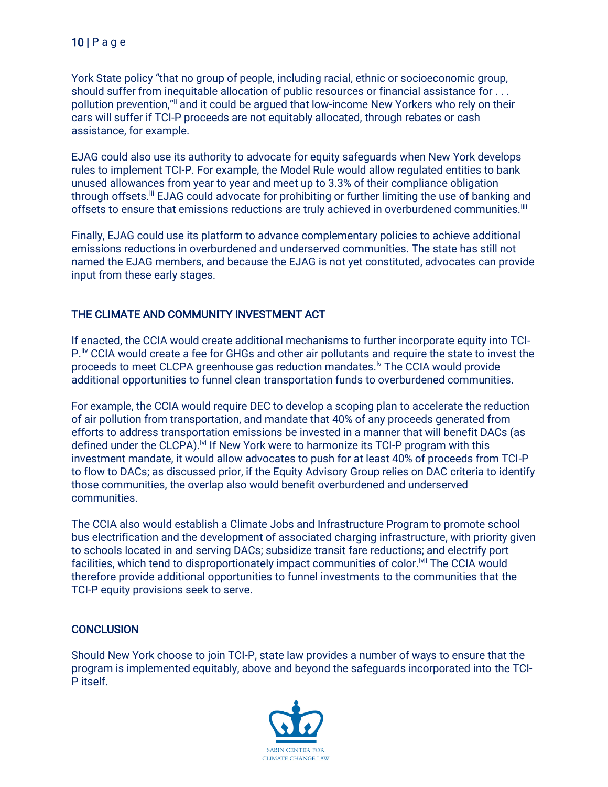York State policy "that no group of people, including racial, ethnic or socioeconomic group, should suffer from inequitable allocation of public resources or financial assistance for . . . pollution prevention,"ii and it could be argued that low-income New Yorkers who rely on their cars will suffer if TCI-P proceeds are not equitably allocated, through rebates or cash assistance, for example.

EJAG could also use its authority to advocate for equity safeguards when New York develops rules to implement TCI-P. For example, the Model Rule would allow regulated entities to bank unused allowances from year to year and meet up to 3.3% of their compliance obligation through offsets.<sup>Iii</sup> EJAG could advocate for prohibiting or further limiting the use of banking and offsets to ensure that emissions reductions are truly achieved in overburdened communities.<sup>[iii</sup>]

Finally, EJAG could use its platform to advance complementary policies to achieve additional emissions reductions in overburdened and underserved communities. The state has still not named the EJAG members, and because the EJAG is not yet constituted, advocates can provide input from these early stages.

#### THE CLIMATE AND COMMUNITY INVESTMENT ACT

If enacted, the CCIA would create additional mechanisms to further incorporate equity into TCI-P.<sup>Iiv</sup> CCIA would create a fee for GHGs and other air pollutants and require the state to invest the proceeds to meet CLCPA greenhouse gas reduction mandates.<sup>Iv</sup> The CCIA would provide additional opportunities to funnel clean transportation funds to overburdened communities.

For example, the CCIA would require DEC to develop a scoping plan to accelerate the reduction of air pollution from transportation, and mandate that 40% of any proceeds generated from efforts to address transportation emissions be invested in a manner that will benefit DACs (as defined under the CLCPA).<sup>Ivi</sup> If New York were to harmonize its TCI-P program with this investment mandate, it would allow advocates to push for at least 40% of proceeds from TCI-P to flow to DACs; as discussed prior, if the Equity Advisory Group relies on DAC criteria to identify those communities, the overlap also would benefit overburdened and underserved communities.

The CCIA also would establish a Climate Jobs and Infrastructure Program to promote school bus electrification and the development of associated charging infrastructure, with priority given to schools located in and serving DACs; subsidize transit fare reductions; and electrify port facilities, which tend to disproportionately impact communities of color.<sup>Ivii</sup> The CCIA would therefore provide additional opportunities to funnel investments to the communities that the TCI-P equity provisions seek to serve.

#### **CONCLUSION**

Should New York choose to join TCI-P, state law provides a number of ways to ensure that the program is implemented equitably, above and beyond the safeguards incorporated into the TCI-P itself.

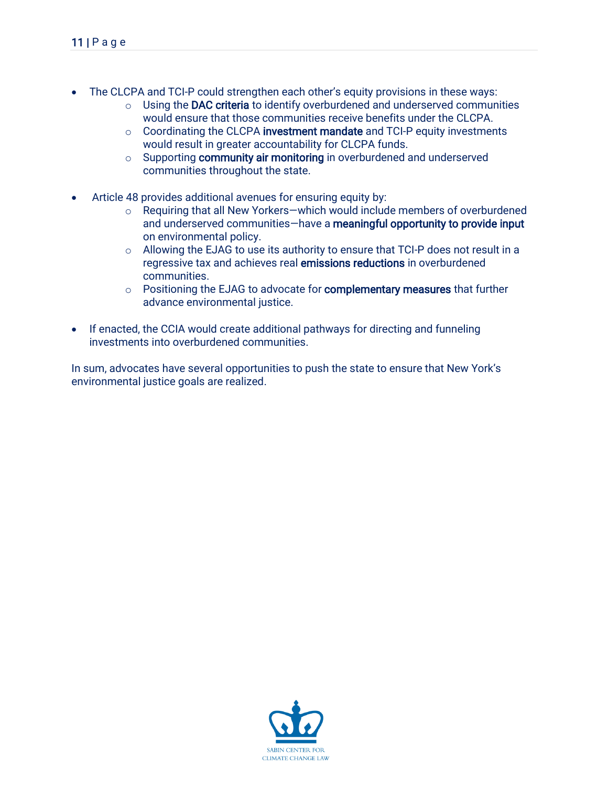- The CLCPA and TCI-P could strengthen each other's equity provisions in these ways:
	- o Using the DAC criteria to identify overburdened and underserved communities would ensure that those communities receive benefits under the CLCPA.
	- o Coordinating the CLCPA investment mandate and TCI-P equity investments would result in greater accountability for CLCPA funds.
	- o Supporting community air monitoring in overburdened and underserved communities throughout the state.
- Article 48 provides additional avenues for ensuring equity by:
	- o Requiring that all New Yorkers—which would include members of overburdened and underserved communities—have a meaningful opportunity to provide input on environmental policy.
	- o Allowing the EJAG to use its authority to ensure that TCI-P does not result in a regressive tax and achieves real emissions reductions in overburdened communities.
	- o Positioning the EJAG to advocate for **complementary measures** that further advance environmental justice.
- If enacted, the CCIA would create additional pathways for directing and funneling investments into overburdened communities.

In sum, advocates have several opportunities to push the state to ensure that New York's environmental justice goals are realized.

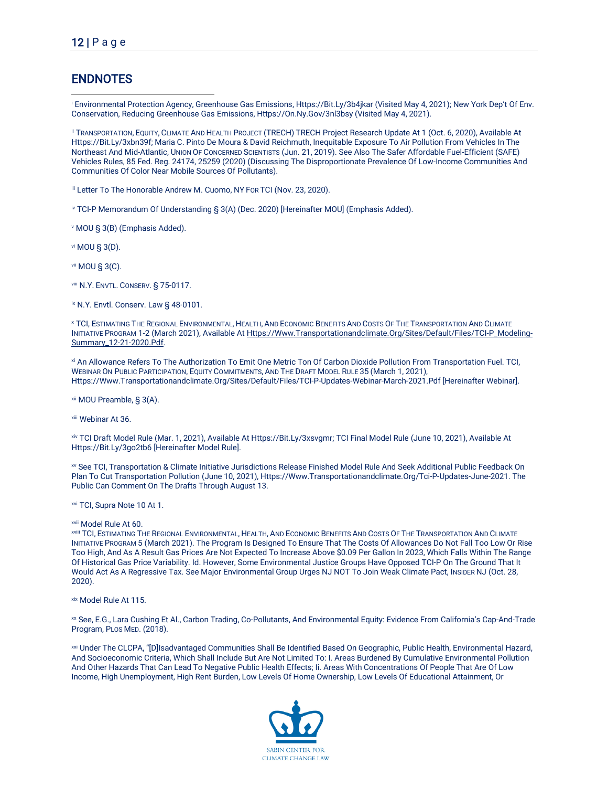# **ENDNOTES**

<sup>i</sup> Environmental Protection Agency, Greenhouse Gas Emissions, Https://Bit.Ly/3b4jkar (Visited May 4, 2021); New York Dep't Of Env. Conservation, Reducing Greenhouse Gas Emissions, Https://On.Ny.Gov/3nl3bsy (Visited May 4, 2021).

ii TRANSPORTATION, EQUITY, CLIMATE AND HEALTH PROJECT (TRECH) TRECH Project Research Update At 1 (Oct. 6, 2020), Available At Https://Bit.Ly/3xbn39f; Maria C. Pinto De Moura & David Reichmuth, Inequitable Exposure To Air Pollution From Vehicles In The Northeast And Mid-Atlantic, UNION OF CONCERNED SCIENTISTS (Jun. 21, 2019). See Also The Safer Affordable Fuel-Efficient (SAFE) Vehicles Rules, 85 Fed. Reg. 24174, 25259 (2020) (Discussing The Disproportionate Prevalence Of Low-Income Communities And Communities Of Color Near Mobile Sources Of Pollutants).

iii Letter To The Honorable Andrew M. Cuomo, NY For TCI (Nov. 23, 2020).

iv TCI-P Memorandum Of Understanding § 3(A) (Dec. 2020) [Hereinafter MOU] (Emphasis Added).

<sup>v</sup> MOU § 3(B) (Emphasis Added).

vi MOU § 3(D).

vii MOU § 3(C).

viii N.Y. ENVTL. CONSERV. § 75-0117.

ix N.Y. Envtl. Conserv. Law § 48-0101.

<sup>x</sup> TCI, ESTIMATING THE REGIONAL ENVIRONMENTAL, HEALTH, AND ECONOMIC BENEFITS AND COSTS OF THE TRANSPORTATION AND CLIMATE INITIATIVE PROGRAM 1-2 (March 2021), Available A[t Https://Www.Transportationandclimate.Org/Sites/Default/Files/TCI-P\\_Modeling-](https://www.transportationandclimate.org/sites/default/files/TCI-P_modeling-summary_12-21-2020.pdf)[Summary\\_12-21-2020.Pdf.](https://www.transportationandclimate.org/sites/default/files/TCI-P_modeling-summary_12-21-2020.pdf) 

xi An Allowance Refers To The Authorization To Emit One Metric Ton Of Carbon Dioxide Pollution From Transportation Fuel. TCI, WEBINAR ON PUBLIC PARTICIPATION, EQUITY COMMITMENTS, AND THE DRAFT MODEL RULE 35 (March 1, 2021), Https://Www.Transportationandclimate.Org/Sites/Default/Files/TCI-P-Updates-Webinar-March-2021.Pdf [Hereinafter Webinar].

xii MOU Preamble, § 3(A).

xiii Webinar At 36.

xiv TCI Draft Model Rule (Mar. 1, 2021), Available At Https://Bit.Ly/3xsvgmr; TCI Final Model Rule (June 10, 2021), Available At Https://Bit.Ly/3go2tb6 [Hereinafter Model Rule].

xv See TCI, Transportation & Climate Initiative Jurisdictions Release Finished Model Rule And Seek Additional Public Feedback On Plan To Cut Transportation Pollution (June 10, 2021), Https://Www.Transportationandclimate.Org/Tci-P-Updates-June-2021. The Public Can Comment On The Drafts Through August 13.

xvi TCI, Supra Note 10 At 1.

xvii Model Rule At 60.

xviii TCI, ESTIMATING THE REGIONAL ENVIRONMENTAL, HEALTH, AND ECONOMIC BENEFITS AND COSTS OF THE TRANSPORTATION AND CLIMATE INITIATIVE PROGRAM 5 (March 2021). The Program Is Designed To Ensure That The Costs Of Allowances Do Not Fall Too Low Or Rise Too High, And As A Result Gas Prices Are Not Expected To Increase Above \$0.09 Per Gallon In 2023, Which Falls Within The Range Of Historical Gas Price Variability. Id. However, Some Environmental Justice Groups Have Opposed TCI-P On The Ground That It Would Act As A Regressive Tax. See Major Environmental Group Urges NJ NOT To Join Weak Climate Pact, INSIDER NJ (Oct. 28, 2020).

xix Model Rule At 115.

xx See, E.G., Lara Cushing Et Al., Carbon Trading, Co-Pollutants, And Environmental Equity: Evidence From California's Cap-And-Trade Program, PLOS MED. (2018).

xxi Under The CLCPA, "[D]Isadvantaged Communities Shall Be Identified Based On Geographic, Public Health, Environmental Hazard, And Socioeconomic Criteria, Which Shall Include But Are Not Limited To: I. Areas Burdened By Cumulative Environmental Pollution And Other Hazards That Can Lead To Negative Public Health Effects; Ii. Areas With Concentrations Of People That Are Of Low Income, High Unemployment, High Rent Burden, Low Levels Of Home Ownership, Low Levels Of Educational Attainment, Or

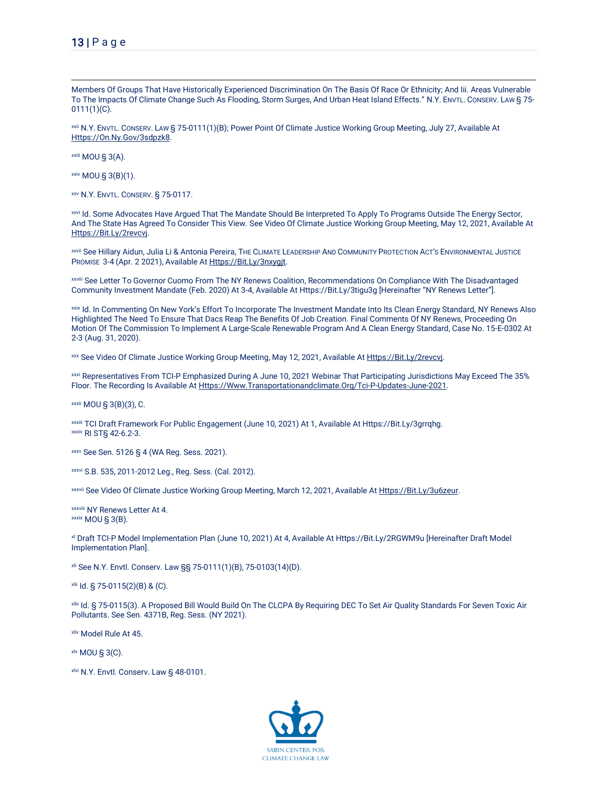Members Of Groups That Have Historically Experienced Discrimination On The Basis Of Race Or Ethnicity; And Iii. Areas Vulnerable To The Impacts Of Climate Change Such As Flooding, Storm Surges, And Urban Heat Island Effects." N.Y. ENVTL. CONSERV. LAW § 75-0111(1)(C).

xxii N.Y. ENVTL. CONSERV. LAW § 75-0111(1)(B); Power Point Of Climate Justice Working Group Meeting, July 27, Available At [Https://On.Ny.Gov/3sdpzk8.](https://on.ny.gov/3sDpzK8)

xxiii MOU § 3(A).

xxiv MOU § 3(B)(1).

xxv N.Y. ENVTL. CONSERV. § 75-0117.

xxvi Id. Some Advocates Have Argued That The Mandate Should Be Interpreted To Apply To Programs Outside The Energy Sector, And The State Has Agreed To Consider This View. See Video Of Climate Justice Working Group Meeting, May 12, 2021, Available At [Https://Bit.Ly/2revcvj.](https://bit.ly/2REVCvj)

xxvii See Hillary Aidun, Julia Li & Antonia Pereira, THE CLIMATE LEADERSHIP AND COMMUNITY PROTECTION ACT'S ENVIRONMENTAL JUSTICE PROMISE 3-4 (Apr. 2 2021), Available At [Https://Bit.Ly/3nxygjt.](https://bit.ly/3nxyGJT)

xxviii See Letter To Governor Cuomo From The NY Renews Coalition, Recommendations On Compliance With The Disadvantaged Community Investment Mandate (Feb. 2020) At 3-4, Available At Https://Bit.Ly/3tigu3g [Hereinafter "NY Renews Letter"].

xxix Id. In Commenting On New York's Effort To Incorporate The Investment Mandate Into Its Clean Energy Standard, NY Renews Also Highlighted The Need To Ensure That Dacs Reap The Benefits Of Job Creation. Final Comments Of NY Renews, Proceeding On Motion Of The Commission To Implement A Large-Scale Renewable Program And A Clean Energy Standard, Case No. 15-E-0302 At 2-3 (Aug. 31, 2020).

xxx See Video Of Climate Justice Working Group Meeting, May 12, 2021, Available A[t Https://Bit.Ly/2revcvj.](https://bit.ly/2REVCvj)

xxxi Representatives From TCI-P Emphasized During A June 10, 2021 Webinar That Participating Jurisdictions May Exceed The 35% Floor. The Recording Is Available A[t Https://Www.Transportationandclimate.Org/Tci-P-Updates-June-2021.](https://www.transportationandclimate.org/tci-p-updates-june-2021) 

xxxii MOU § 3(B)(3), C.

xxxiii TCI Draft Framework For Public Engagement (June 10, 2021) At 1, Available At Https://Bit.Ly/3grrqhg. xxxiv RI ST§ 42-6.2-3.

xxxv See Sen. 5126 § 4 (WA Reg. Sess. 2021).

xxxvi S.B. 535, 2011-2012 Leg., Reg. Sess. (Cal. 2012).

xxxvii See Video Of Climate Justice Working Group Meeting, March 12, 2021, Available A[t Https://Bit.Ly/3u6zeur.](https://bit.ly/3u6ZEur)

xxxviii NY Renews Letter At 4. xxxix MOU § 3(B).

xl Draft TCI-P Model Implementation Plan (June 10, 2021) At 4, Available At Https://Bit.Ly/2RGWM9u [Hereinafter Draft Model Implementation Plan].

xli See N.Y. Envtl. Conserv. Law §§ 75-0111(1)(B), 75-0103(14)(D).

xlii Id. § 75-0115(2)(B) & (C).

xliii Id. § 75-0115(3). A Proposed Bill Would Build On The CLCPA By Requiring DEC To Set Air Quality Standards For Seven Toxic Air Pollutants. See Sen. 4371B, Reg. Sess. (NY 2021).

xliv Model Rule At 45.

xlv MOU § 3(C).

xlvi N.Y. Envtl. Conserv. Law § 48-0101.